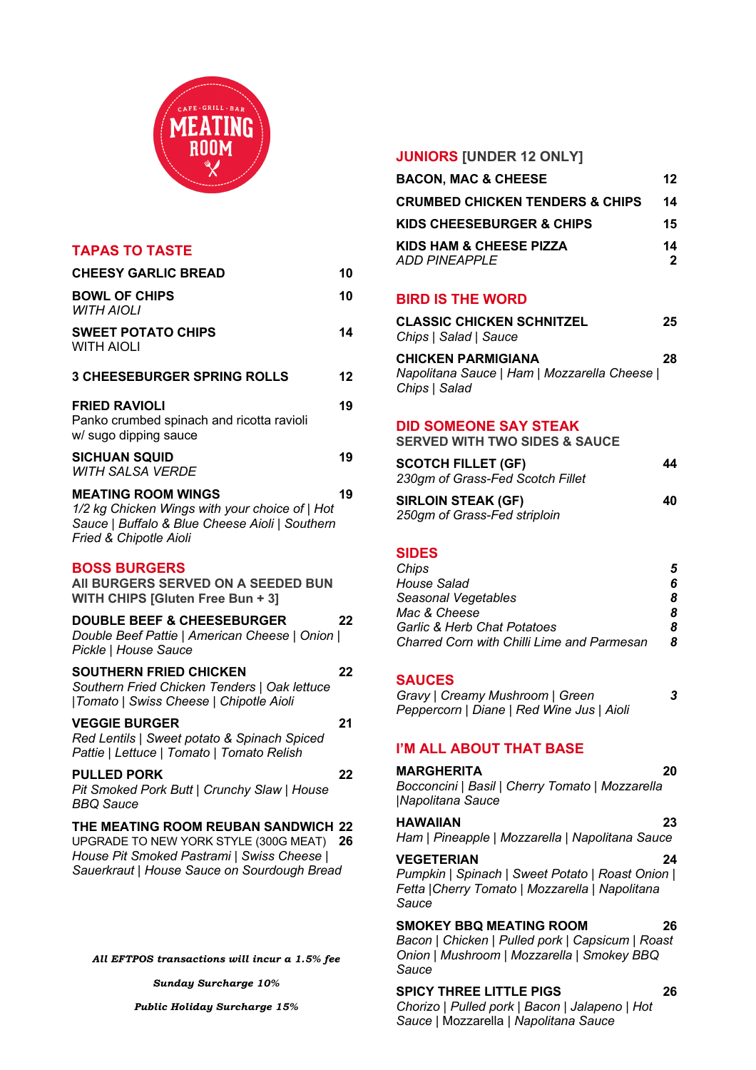

| <b>TAPAS TO TASTE</b>                                                                                                                                                     |    |
|---------------------------------------------------------------------------------------------------------------------------------------------------------------------------|----|
| <b>CHEESY GARLIC BREAD</b>                                                                                                                                                | 10 |
| <b>BOWL OF CHIPS</b><br><b>WITH AIOLI</b>                                                                                                                                 | 10 |
| <b>SWEET POTATO CHIPS</b><br><b>WITH AIOLI</b>                                                                                                                            | 14 |
| <b>3 CHEESEBURGER SPRING ROLLS</b>                                                                                                                                        | 12 |
| <b>FRIED RAVIOLI</b><br>Panko crumbed spinach and ricotta ravioli<br>w/ sugo dipping sauce                                                                                | 19 |
| <b>SICHUAN SQUID</b><br><b>WITH SALSA VERDE</b>                                                                                                                           | 19 |
| <b>MEATING ROOM WINGS</b><br>1/2 kg Chicken Wings with your choice of   Hot<br>Sauce   Buffalo & Blue Cheese Aioli   Southern<br>Fried & Chipotle Aioli                   | 19 |
| <b>BOSS BURGERS</b><br>AII BURGERS SERVED ON A SEEDED BUN<br>WITH CHIPS [Gluten Free Bun + 3]                                                                             |    |
| <b>DOUBLE BEEF &amp; CHEESEBURGER</b><br>Double Beef Pattie   American Cheese   Onion  <br>Pickle   House Sauce                                                           | 22 |
| <b>SOUTHERN FRIED CHICKEN</b><br>Southern Fried Chicken Tenders   Oak lettuce<br> Tomato   Swiss Cheese   Chipotle Aioli                                                  | 22 |
| <b>VEGGIE BURGER</b><br>Red Lentils   Sweet potato & Spinach Spiced<br>Pattie   Lettuce   Tomato   Tomato Relish                                                          | 21 |
| <b>PULLED PORK</b><br>Pit Smoked Pork Butt   Crunchy Slaw   House<br><b>BBQ Sauce</b>                                                                                     | 22 |
| THE MEATING ROOM REUBAN SANDWICH 22<br>UPGRADE TO NEW YORK STYLE (300G MEAT)<br>House Pit Smoked Pastrami   Swiss Cheese  <br>Sauerkraut   House Sauce on Sourdough Bread | 26 |

*All EFTPOS transactions will incur a 1.5% fee*

*Sunday Surcharge 10%*

#### *Public Holiday Surcharge 15%*

### **JUNIORS [UNDER 12 ONLY]**

| <b>BACON, MAC &amp; CHEESE</b>                                                      | $12 \overline{ }$    |
|-------------------------------------------------------------------------------------|----------------------|
| <b>CRUMBED CHICKEN TENDERS &amp; CHIPS</b>                                          | 14                   |
| KIDS CHEESEBURGER & CHIPS                                                           | 15                   |
| KIDS HAM & CHEESE PIZZA<br>ADD PINEAPPLE                                            | 14<br>$\overline{2}$ |
| <b>BIRD IS THE WORD</b>                                                             |                      |
| <b>CLASSIC CHICKEN SCHNITZEL</b><br>Chips   Salad   Sauce                           | 25                   |
| CHICKEN PARMIGIANA<br>Napolitana Sauce   Ham   Mozzarella Cheese  <br>Chips   Salad | 28                   |
| <b>DID SOMEONE SAY STEAK</b><br><b>SERVED WITH TWO SIDES &amp; SAUCE</b>            |                      |
| <b>SCOTCH FILLET (GF)</b><br>230gm of Grass-Fed Scotch Fillet                       | 44                   |
| <b>SIRLOIN STEAK (GF)</b><br>250gm of Grass-Fed striploin                           | 40                   |
| <b>SIDES</b>                                                                        |                      |
| Chips<br><b>House Salad</b>                                                         | 5<br>6               |

| HOUSE Salad                                |   |
|--------------------------------------------|---|
| Seasonal Vegetables                        | 8 |
| Mac & Cheese                               | 8 |
| Garlic & Herb Chat Potatoes                | 8 |
| Charred Corn with Chilli Lime and Parmesan |   |

### **SAUCES**

| Gravy   Creamy Mushroom   Green           | 3 |
|-------------------------------------------|---|
| Peppercorn   Diane   Red Wine Jus   Aioli |   |

# **I'M ALL ABOUT THAT BASE**

**MARGHERITA 20** *Bocconcini* | *Basil* | *Cherry Tomato* | *Mozzarella*  |*Napolitana Sauce*

# **HAWAIIAN 23**

*Ham* | *Pineapple* | *Mozzarella* | *Napolitana Sauce* 

#### **VEGETERIAN 24**

*Pumpkin* | *Spinach* | *Sweet Potato* | *Roast Onion* | *Fetta* |*Cherry Tomato* | *Mozzarella* | *Napolitana Sauce* 

# **SMOKEY BBQ MEATING ROOM 26**

*Bacon* | *Chicken* | *Pulled pork* | *Capsicum* | *Roast Onion* | *Mushroom* | *Mozzarella* | *Smokey BBQ Sauce*

#### **SPICY THREE LITTLE PIGS 26**

*Chorizo* | *Pulled pork* | *Bacon* | *Jalapeno* | *Hot Sauce* | Mozzarella | *Napolitana Sauce*